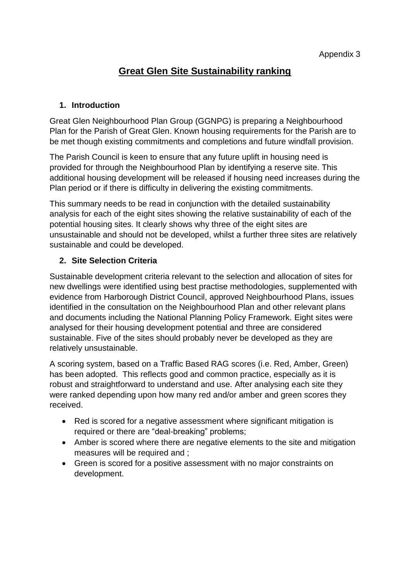# **Great Glen Site Sustainability ranking**

#### **1. Introduction**

Great Glen Neighbourhood Plan Group (GGNPG) is preparing a Neighbourhood Plan for the Parish of Great Glen. Known housing requirements for the Parish are to be met though existing commitments and completions and future windfall provision.

The Parish Council is keen to ensure that any future uplift in housing need is provided for through the Neighbourhood Plan by identifying a reserve site. This additional housing development will be released if housing need increases during the Plan period or if there is difficulty in delivering the existing commitments.

This summary needs to be read in conjunction with the detailed sustainability analysis for each of the eight sites showing the relative sustainability of each of the potential housing sites. It clearly shows why three of the eight sites are unsustainable and should not be developed, whilst a further three sites are relatively sustainable and could be developed.

### **2. Site Selection Criteria**

Sustainable development criteria relevant to the selection and allocation of sites for new dwellings were identified using best practise methodologies, supplemented with evidence from Harborough District Council, approved Neighbourhood Plans, issues identified in the consultation on the Neighbourhood Plan and other relevant plans and documents including the National Planning Policy Framework. Eight sites were analysed for their housing development potential and three are considered sustainable. Five of the sites should probably never be developed as they are relatively unsustainable.

A scoring system, based on a Traffic Based RAG scores (i.e. Red, Amber, Green) has been adopted. This reflects good and common practice, especially as it is robust and straightforward to understand and use. After analysing each site they were ranked depending upon how many red and/or amber and green scores they received.

- Red is scored for a negative assessment where significant mitigation is required or there are "deal-breaking" problems;
- Amber is scored where there are negative elements to the site and mitigation measures will be required and ;
- Green is scored for a positive assessment with no major constraints on development.